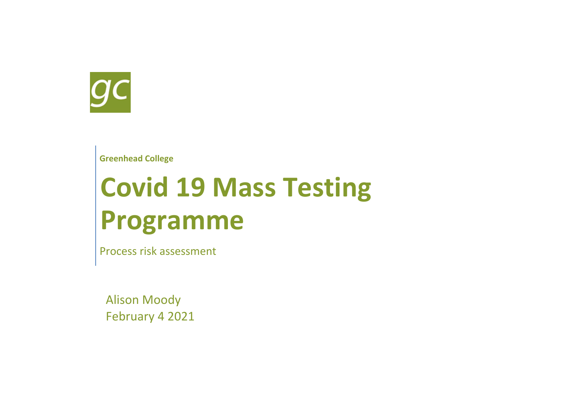

**Greenhead College**

# **Covid 19 Mass Testing Programme**

Process risk assessment

Alison Moody February 4 2021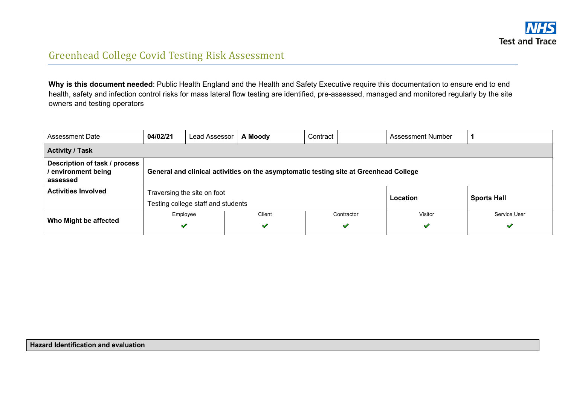

### Greenhead College Covid Testing Risk Assessment

Why is this document needed: Public Health England and the Health and Safety Executive require this documentation to ensure end to end health, safety and infection control risks for mass lateral flow testing are identified, pre-assessed, managed and monitored regularly by the site owners and testing operators

| <b>Assessment Date</b>                                                                                                                                  | 04/02/21                                                                                                                                         | A Moody<br>Lead Assessor<br>Contract<br><b>Assessment Number</b>                                    |  |  |  |  |  |  |  |  |  |
|---------------------------------------------------------------------------------------------------------------------------------------------------------|--------------------------------------------------------------------------------------------------------------------------------------------------|-----------------------------------------------------------------------------------------------------|--|--|--|--|--|--|--|--|--|
| <b>Activity / Task</b>                                                                                                                                  |                                                                                                                                                  |                                                                                                     |  |  |  |  |  |  |  |  |  |
| Description of task / process<br>environment being<br>General and clinical activities on the asymptomatic testing site at Greenhead College<br>assessed |                                                                                                                                                  |                                                                                                     |  |  |  |  |  |  |  |  |  |
| <b>Activities Involved</b>                                                                                                                              |                                                                                                                                                  | Traversing the site on foot<br>Location<br><b>Sports Hall</b><br>Testing college staff and students |  |  |  |  |  |  |  |  |  |
| Who Might be affected                                                                                                                                   | Employee<br>Service User<br>Client<br>Contractor<br>Visitor<br>$\checkmark$<br>$\blacktriangledown$<br>$\blacktriangledown$<br>$\checkmark$<br>✔ |                                                                                                     |  |  |  |  |  |  |  |  |  |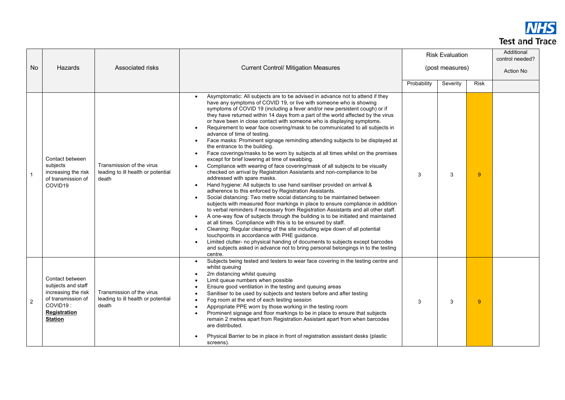

|    |                                                                                                                                         |                                                                          |                                                                                                                                                                                                                                                                                                                                                                                                                                                                                                                                                                                                                                                                                                                                                                                                                                                                                                                                                                                                                                                                                                                                                                                                                                                                                                                                                                                                                                                                                                                                                                                                                                                                                                                                                                                                                                                         |                 | <b>Risk Evaluation</b> |      | Additional<br>control needed? |
|----|-----------------------------------------------------------------------------------------------------------------------------------------|--------------------------------------------------------------------------|---------------------------------------------------------------------------------------------------------------------------------------------------------------------------------------------------------------------------------------------------------------------------------------------------------------------------------------------------------------------------------------------------------------------------------------------------------------------------------------------------------------------------------------------------------------------------------------------------------------------------------------------------------------------------------------------------------------------------------------------------------------------------------------------------------------------------------------------------------------------------------------------------------------------------------------------------------------------------------------------------------------------------------------------------------------------------------------------------------------------------------------------------------------------------------------------------------------------------------------------------------------------------------------------------------------------------------------------------------------------------------------------------------------------------------------------------------------------------------------------------------------------------------------------------------------------------------------------------------------------------------------------------------------------------------------------------------------------------------------------------------------------------------------------------------------------------------------------------------|-----------------|------------------------|------|-------------------------------|
| No | Hazards                                                                                                                                 | Associated risks                                                         | <b>Current Control/ Mitigation Measures</b>                                                                                                                                                                                                                                                                                                                                                                                                                                                                                                                                                                                                                                                                                                                                                                                                                                                                                                                                                                                                                                                                                                                                                                                                                                                                                                                                                                                                                                                                                                                                                                                                                                                                                                                                                                                                             | (post measures) |                        |      | Action No                     |
|    |                                                                                                                                         |                                                                          |                                                                                                                                                                                                                                                                                                                                                                                                                                                                                                                                                                                                                                                                                                                                                                                                                                                                                                                                                                                                                                                                                                                                                                                                                                                                                                                                                                                                                                                                                                                                                                                                                                                                                                                                                                                                                                                         | Probability     | Severity               | Risk |                               |
|    | Contact between<br>subjects<br>increasing the risk<br>of transmission of<br>COVID19                                                     | Transmission of the virus<br>leading to ill health or potential<br>death | Asymptomatic: All subjects are to be advised in advance not to attend if they<br>have any symptoms of COVID 19, or live with someone who is showing<br>symptoms of COVID 19 (including a fever and/or new persistent cough) or if<br>they have returned within 14 days from a part of the world affected by the virus<br>or have been in close contact with someone who is displaying symptoms.<br>Requirement to wear face covering/mask to be communicated to all subjects in<br>advance of time of testing.<br>Face masks: Prominent signage reminding attending subjects to be displayed at<br>$\bullet$<br>the entrance to the building.<br>Face coverings/masks to be worn by subjects at all times whilst on the premises<br>$\bullet$<br>except for brief lowering at time of swabbing.<br>Compliance with wearing of face covering/mask of all subjects to be visually<br>checked on arrival by Registration Assistants and non-compliance to be<br>addressed with spare masks.<br>Hand hygiene: All subjects to use hand sanitiser provided on arrival &<br>$\bullet$<br>adherence to this enforced by Registration Assistants.<br>Social distancing: Two metre social distancing to be maintained between<br>subjects with measured floor markings in place to ensure compliance in addition<br>to verbal reminders if necessary from Registration Assistants and all other staff.<br>A one-way flow of subjects through the building is to be initiated and maintained<br>at all times. Compliance with this is to be ensured by staff.<br>Cleaning: Regular cleaning of the site including wipe down of all potential<br>touchpoints in accordance with PHE guidance.<br>Limited clutter- no physical handing of documents to subjects except barcodes<br>and subjects asked in advance not to bring personal belongings in to the testing |                 | 3                      | 9    |                               |
| 2  | Contact between<br>subjects and staff<br>increasing the risk<br>of transmission of<br>COVID19:<br><b>Registration</b><br><b>Station</b> | Transmission of the virus<br>leading to ill health or potential<br>death | Subjects being tested and testers to wear face covering in the testing centre and<br>$\bullet$<br>whilst queuing<br>2m distancing whilst queuing<br>Limit queue numbers when possible<br>Ensure good ventilation in the testing and queuing areas<br>Sanitiser to be used by subjects and testers before and after testing<br>$\bullet$<br>Fog room at the end of each testing session<br>Appropriate PPE worn by those working in the testing room<br>$\bullet$<br>Prominent signage and floor markings to be in place to ensure that subjects<br>remain 2 metres apart from Registration Assistant apart from when barcodes<br>are distributed.<br>Physical Barrier to be in place in front of registration assistant desks (plastic<br>screens).                                                                                                                                                                                                                                                                                                                                                                                                                                                                                                                                                                                                                                                                                                                                                                                                                                                                                                                                                                                                                                                                                                     | 3               | 3                      | 9    |                               |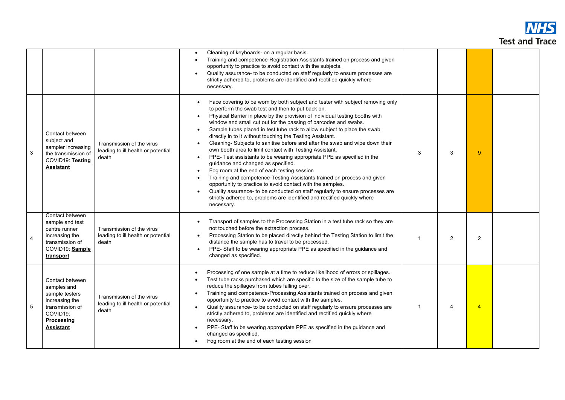

|                |                                                                                                                                            |                                                                          | Cleaning of keyboards- on a regular basis.<br>$\bullet$<br>Training and competence-Registration Assistants trained on process and given<br>opportunity to practice to avoid contact with the subjects.<br>Quality assurance- to be conducted on staff regularly to ensure processes are<br>$\bullet$<br>strictly adhered to, problems are identified and rectified quickly where<br>necessary.                                                                                                                                                                                                                                                                                                                                                                                                                                                                                                                                                                                                                                                                                          |              |   |                |  |
|----------------|--------------------------------------------------------------------------------------------------------------------------------------------|--------------------------------------------------------------------------|-----------------------------------------------------------------------------------------------------------------------------------------------------------------------------------------------------------------------------------------------------------------------------------------------------------------------------------------------------------------------------------------------------------------------------------------------------------------------------------------------------------------------------------------------------------------------------------------------------------------------------------------------------------------------------------------------------------------------------------------------------------------------------------------------------------------------------------------------------------------------------------------------------------------------------------------------------------------------------------------------------------------------------------------------------------------------------------------|--------------|---|----------------|--|
| 3              | Contact between<br>subject and<br>sampler increasing<br>the transmission of<br>COVID19: Testing<br><b>Assistant</b>                        | Transmission of the virus<br>leading to ill health or potential<br>death | Face covering to be worn by both subject and tester with subject removing only<br>to perform the swab test and then to put back on.<br>Physical Barrier in place by the provision of individual testing booths with<br>window and small cut out for the passing of barcodes and swabs.<br>Sample tubes placed in test tube rack to allow subject to place the swab<br>directly in to it without touching the Testing Assistant.<br>Cleaning- Subjects to sanitise before and after the swab and wipe down their<br>own booth area to limit contact with Testing Assistant.<br>PPE- Test assistants to be wearing appropriate PPE as specified in the<br>$\bullet$<br>guidance and changed as specified.<br>Fog room at the end of each testing session<br>$\bullet$<br>Training and competence-Testing Assistants trained on process and given<br>opportunity to practice to avoid contact with the samples.<br>Quality assurance- to be conducted on staff regularly to ensure processes are<br>strictly adhered to, problems are identified and rectified quickly where<br>necessary. | 3            | 3 | 9              |  |
| $\overline{4}$ | Contact between<br>sample and test<br>centre runner<br>increasing the<br>transmission of<br>COVID19: Sample<br>transport                   | Transmission of the virus<br>leading to ill health or potential<br>death | Transport of samples to the Processing Station in a test tube rack so they are<br>not touched before the extraction process.<br>Processing Station to be placed directly behind the Testing Station to limit the<br>distance the sample has to travel to be processed.<br>PPE-Staff to be wearing appropriate PPE as specified in the guidance and<br>changed as specified.                                                                                                                                                                                                                                                                                                                                                                                                                                                                                                                                                                                                                                                                                                             | $\mathbf{1}$ | 2 | $\overline{2}$ |  |
| 5              | Contact between<br>samples and<br>sample testers<br>increasing the<br>transmission of<br>COVID19:<br><b>Processing</b><br><b>Assistant</b> | Transmission of the virus<br>leading to ill health or potential<br>death | Processing of one sample at a time to reduce likelihood of errors or spillages.<br>$\bullet$<br>Test tube racks purchased which are specific to the size of the sample tube to<br>$\bullet$<br>reduce the spillages from tubes falling over.<br>Training and competence-Processing Assistants trained on process and given<br>$\bullet$<br>opportunity to practice to avoid contact with the samples.<br>Quality assurance- to be conducted on staff regularly to ensure processes are<br>$\bullet$<br>strictly adhered to, problems are identified and rectified quickly where<br>necessary.<br>PPE-Staff to be wearing appropriate PPE as specified in the guidance and<br>$\bullet$<br>changed as specified.<br>Fog room at the end of each testing session<br>$\bullet$                                                                                                                                                                                                                                                                                                             | 1            | 4 | $\overline{4}$ |  |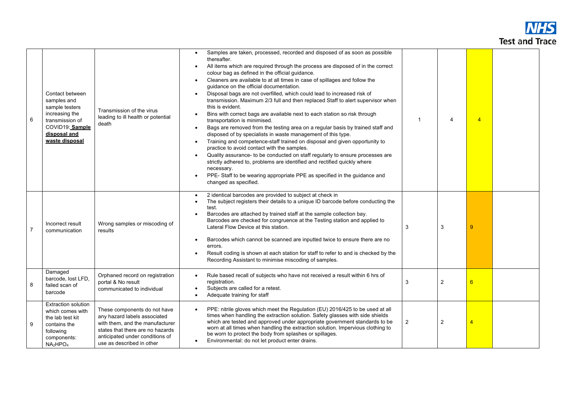## **NHS Test and Trace**

| 6              | Contact between<br>samples and<br>sample testers<br>increasing the<br>transmission of<br>COVID19: Sample<br>disposal and<br>waste disposal         | Transmission of the virus<br>leading to ill health or potential<br>death                                                                                                                            | Samples are taken, processed, recorded and disposed of as soon as possible<br>thereafter.<br>All items which are required through the process are disposed of in the correct<br>colour bag as defined in the official guidance.<br>Cleaners are available to at all times in case of spillages and follow the<br>$\bullet$<br>guidance on the official documentation.<br>Disposal bags are not overfilled, which could lead to increased risk of<br>$\bullet$<br>transmission. Maximum 2/3 full and then replaced Staff to alert supervisor when<br>this is evident.<br>Bins with correct bags are available next to each station so risk through<br>$\bullet$<br>transportation is minimised.<br>Bags are removed from the testing area on a regular basis by trained staff and<br>$\bullet$<br>disposed of by specialists in waste management of this type.<br>Training and competence-staff trained on disposal and given opportunity to<br>$\bullet$<br>practice to avoid contact with the samples.<br>Quality assurance- to be conducted on staff regularly to ensure processes are<br>$\bullet$<br>strictly adhered to, problems are identified and rectified quickly where<br>necessary.<br>PPE-Staff to be wearing appropriate PPE as specified in the guidance and<br>$\bullet$<br>changed as specified. |                         | $\overline{4}$ | $\overline{4}$ |  |
|----------------|----------------------------------------------------------------------------------------------------------------------------------------------------|-----------------------------------------------------------------------------------------------------------------------------------------------------------------------------------------------------|-------------------------------------------------------------------------------------------------------------------------------------------------------------------------------------------------------------------------------------------------------------------------------------------------------------------------------------------------------------------------------------------------------------------------------------------------------------------------------------------------------------------------------------------------------------------------------------------------------------------------------------------------------------------------------------------------------------------------------------------------------------------------------------------------------------------------------------------------------------------------------------------------------------------------------------------------------------------------------------------------------------------------------------------------------------------------------------------------------------------------------------------------------------------------------------------------------------------------------------------------------------------------------------------------------------------|-------------------------|----------------|----------------|--|
| $\overline{7}$ | Incorrect result<br>communication                                                                                                                  | Wrong samples or miscoding of<br>results                                                                                                                                                            | 2 identical barcodes are provided to subject at check in<br>$\bullet$<br>The subject registers their details to a unique ID barcode before conducting the<br>$\bullet$<br>test.<br>Barcodes are attached by trained staff at the sample collection bay.<br>$\bullet$<br>Barcodes are checked for congruence at the Testing station and applied to<br>Lateral Flow Device at this station.<br>Barcodes which cannot be scanned are inputted twice to ensure there are no<br>$\bullet$<br>errors.<br>Result coding is shown at each station for staff to refer to and is checked by the<br>$\bullet$<br>Recording Assistant to minimise miscoding of samples.                                                                                                                                                                                                                                                                                                                                                                                                                                                                                                                                                                                                                                                       | 3                       | 3              | 9              |  |
| 8              | Damaged<br>barcode, lost LFD,<br>failed scan of<br>barcode                                                                                         | Orphaned record on registration<br>portal & No result<br>communicated to individual                                                                                                                 | Rule based recall of subjects who have not received a result within 6 hrs of<br>$\bullet$<br>registration.<br>Subjects are called for a retest.<br>$\bullet$<br>Adequate training for staff<br>$\bullet$                                                                                                                                                                                                                                                                                                                                                                                                                                                                                                                                                                                                                                                                                                                                                                                                                                                                                                                                                                                                                                                                                                          | 3                       | $\overline{2}$ | 6              |  |
| -9             | <b>Extraction solution</b><br>which comes with<br>the lab test kit<br>contains the<br>following<br>components:<br>NA <sub>2</sub> HPO <sub>4</sub> | These components do not have<br>any hazard labels associated<br>with them, and the manufacturer<br>states that there are no hazards<br>anticipated under conditions of<br>use as described in other | PPE: nitrile gloves which meet the Regulation (EU) 2016/425 to be used at all<br>$\bullet$<br>times when handling the extraction solution. Safety glasses with side shields<br>which are tested and approved under appropriate government standards to be<br>worn at all times when handling the extraction solution. Impervious clothing to<br>be worn to protect the body from splashes or spillages.<br>Environmental: do not let product enter drains.<br>$\bullet$                                                                                                                                                                                                                                                                                                                                                                                                                                                                                                                                                                                                                                                                                                                                                                                                                                           | $\overline{\mathbf{c}}$ | $\overline{2}$ | 4              |  |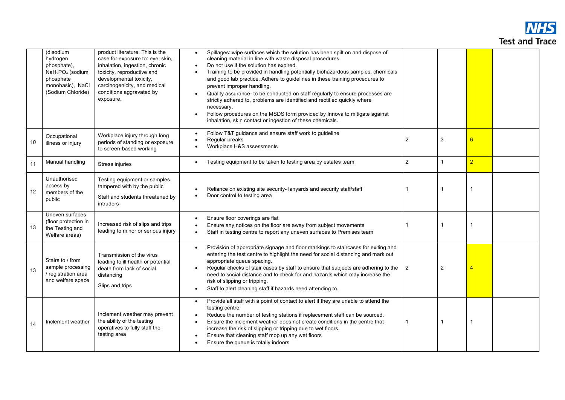

|    | (disodium<br>hydrogen<br>phosphate),<br>NaH <sub>2</sub> PO <sub>4</sub> (sodium<br>phosphate<br>monobasic), NaCl<br>(Sodium Chloride) | product literature. This is the<br>case for exposure to: eye, skin,<br>inhalation, ingestion, chronic<br>toxicity, reproductive and<br>developmental toxicity,<br>carcinogenicity, and medical<br>conditions aggravated by<br>exposure. | Spillages: wipe surfaces which the solution has been spilt on and dispose of<br>$\bullet$<br>cleaning material in line with waste disposal procedures.<br>Do not use if the solution has expired.<br>$\bullet$<br>Training to be provided in handling potentially biohazardous samples, chemicals<br>$\bullet$<br>and good lab practice. Adhere to guidelines in these training procedures to<br>prevent improper handling.<br>Quality assurance- to be conducted on staff regularly to ensure processes are<br>$\bullet$<br>strictly adhered to, problems are identified and rectified quickly where<br>necessary.<br>Follow procedures on the MSDS form provided by Innova to mitigate against<br>inhalation, skin contact or ingestion of these chemicals. |                |                |                |  |
|----|----------------------------------------------------------------------------------------------------------------------------------------|-----------------------------------------------------------------------------------------------------------------------------------------------------------------------------------------------------------------------------------------|---------------------------------------------------------------------------------------------------------------------------------------------------------------------------------------------------------------------------------------------------------------------------------------------------------------------------------------------------------------------------------------------------------------------------------------------------------------------------------------------------------------------------------------------------------------------------------------------------------------------------------------------------------------------------------------------------------------------------------------------------------------|----------------|----------------|----------------|--|
| 10 | Occupational<br>illness or injury                                                                                                      | Workplace injury through long<br>periods of standing or exposure<br>to screen-based working                                                                                                                                             | Follow T&T guidance and ensure staff work to guideline<br>$\bullet$<br>Regular breaks<br>$\bullet$<br>Workplace H&S assessments                                                                                                                                                                                                                                                                                                                                                                                                                                                                                                                                                                                                                               | $\overline{2}$ | 3              | 6              |  |
| 11 | Manual handling                                                                                                                        | Stress injuries                                                                                                                                                                                                                         | Testing equipment to be taken to testing area by estates team                                                                                                                                                                                                                                                                                                                                                                                                                                                                                                                                                                                                                                                                                                 | $\overline{2}$ | 1              | $\overline{2}$ |  |
| 12 | Unauthorised<br>access by<br>members of the<br>public                                                                                  | Testing equipment or samples<br>tampered with by the public<br>Staff and students threatened by<br>intruders                                                                                                                            | Reliance on existing site security-lanyards and security staff/staff<br>Door control to testing area                                                                                                                                                                                                                                                                                                                                                                                                                                                                                                                                                                                                                                                          |                | 1              | $\mathbf{1}$   |  |
| 13 | Uneven surfaces<br>(floor protection in<br>the Testing and<br>Welfare areas)                                                           | Increased risk of slips and trips<br>leading to minor or serious injury                                                                                                                                                                 | Ensure floor coverings are flat<br>Ensure any notices on the floor are away from subject movements<br>$\bullet$<br>Staff in testing centre to report any uneven surfaces to Premises team                                                                                                                                                                                                                                                                                                                                                                                                                                                                                                                                                                     |                |                | $\mathbf 1$    |  |
| 13 | Stairs to / from<br>sample processing<br>/ registration area<br>and welfare space                                                      | Transmission of the virus<br>leading to ill health or potential<br>death from lack of social<br>distancing<br>Slips and trips                                                                                                           | Provision of appropriate signage and floor markings to staircases for exiting and<br>$\bullet$<br>entering the test centre to highlight the need for social distancing and mark out<br>appropriate queue spacing.<br>Regular checks of stair cases by staff to ensure that subjects are adhering to the<br>$\bullet$<br>need to social distance and to check for and hazards which may increase the<br>risk of slipping or tripping.<br>Staff to alert cleaning staff if hazards need attending to.                                                                                                                                                                                                                                                           | 2              | $\overline{2}$ | $\overline{4}$ |  |
| 14 | Inclement weather                                                                                                                      | Inclement weather may prevent<br>the ability of the testing<br>operatives to fully staff the<br>testing area                                                                                                                            | Provide all staff with a point of contact to alert if they are unable to attend the<br>$\bullet$<br>testing centre.<br>Reduce the number of testing stations if replacement staff can be sourced.<br>$\bullet$<br>Ensure the inclement weather does not create conditions in the centre that<br>increase the risk of slipping or tripping due to wet floors.<br>Ensure that cleaning staff mop up any wet floors<br>$\bullet$<br>Ensure the queue is totally indoors                                                                                                                                                                                                                                                                                          |                |                | -1             |  |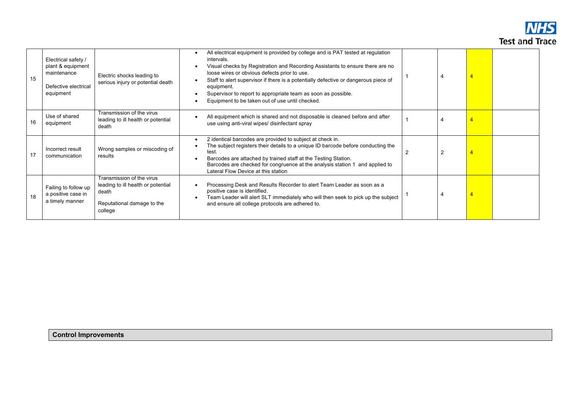

| 15 | Electrical safety /<br>plant & equipment<br>maintenance<br>Defective electrical<br>equipment | Electric shocks leading to<br>serious injury or potential death                                                   | All electrical equipment is provided by college and is PAT tested at regulation<br>intervals.<br>Visual checks by Registration and Recording Assistants to ensure there are no<br>loose wires or obvious defects prior to use.<br>Staff to alert supervisor if there is a potentially defective or dangerous piece of<br>equipment.<br>Supervisor to report to appropriate team as soon as possible.<br>Equipment to be taken out of use until checked. |                |                |  |
|----|----------------------------------------------------------------------------------------------|-------------------------------------------------------------------------------------------------------------------|---------------------------------------------------------------------------------------------------------------------------------------------------------------------------------------------------------------------------------------------------------------------------------------------------------------------------------------------------------------------------------------------------------------------------------------------------------|----------------|----------------|--|
| 16 | Use of shared<br>equipment                                                                   | Transmission of the virus<br>leading to ill health or potential<br>death                                          | All equipment which is shared and not disposable is cleaned before and after<br>use using anti-viral wipes/ disinfectant spray                                                                                                                                                                                                                                                                                                                          |                |                |  |
| 17 | Incorrect result<br>communication                                                            | Wrong samples or miscoding of<br>results                                                                          | 2 identical barcodes are provided to subject at check in.<br>The subject registers their details to a unique ID barcode before conducting the<br>test.<br>Barcodes are attached by trained staff at the Testing Station.<br>Barcodes are checked for congruence at the analysis station 1 and applied to<br>Lateral Flow Device at this station                                                                                                         | $\overline{2}$ | $\overline{2}$ |  |
| 18 | Failing to follow up<br>a positive case in<br>a timely manner                                | Transmission of the virus<br>leading to ill health or potential<br>death<br>Reputational damage to the<br>college | Processing Desk and Results Recorder to alert Team Leader as soon as a<br>positive case is identified.<br>Team Leader will alert SLT immediately who will then seek to pick up the subject<br>and ensure all college protocols are adhered to.                                                                                                                                                                                                          |                |                |  |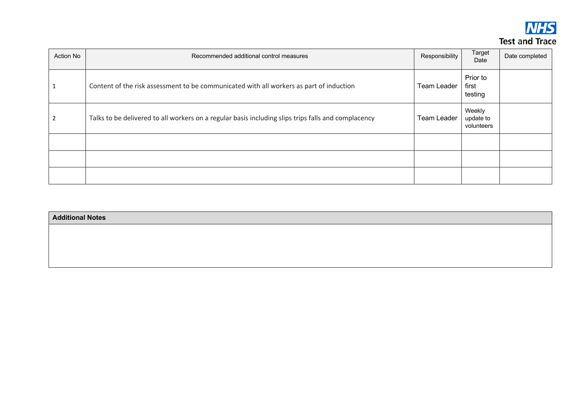

| <b>Action No</b> | Recommended additional control measures                                                             | Responsibility     | Target<br>Date                    | Date completed |
|------------------|-----------------------------------------------------------------------------------------------------|--------------------|-----------------------------------|----------------|
| 1                | Content of the risk assessment to be communicated with all workers as part of induction             | <b>Team Leader</b> | Prior to<br>first<br>testing      |                |
| 2                | Talks to be delivered to all workers on a regular basis including slips trips falls and complacency | <b>Team Leader</b> | Weekly<br>update to<br>volunteers |                |
|                  |                                                                                                     |                    |                                   |                |
|                  |                                                                                                     |                    |                                   |                |
|                  |                                                                                                     |                    |                                   |                |

| <b>Additional Notes</b> |  |
|-------------------------|--|
|                         |  |
|                         |  |
|                         |  |
|                         |  |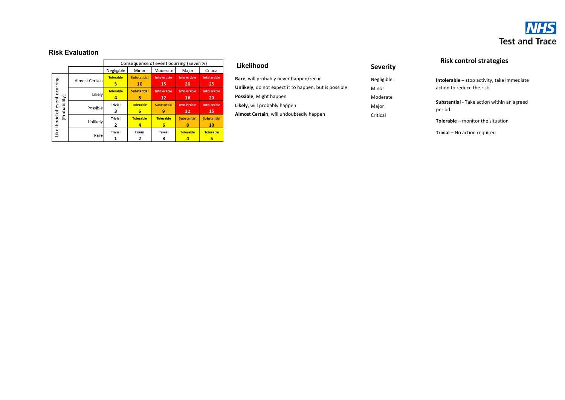

#### **Risk Evaluation**

|                     |                |                       |                          | Consequence of event ocurring (Severity) |                           |                          |
|---------------------|----------------|-----------------------|--------------------------|------------------------------------------|---------------------------|--------------------------|
|                     |                | Negligible            | Minor                    | Moderate                                 | Major                     | Critical                 |
| ocurring            | Almost Certain | <b>Tolerable</b><br>5 | <b>Substantial</b><br>10 | Intolerable<br>15                        | <b>Into lerable</b><br>20 | Intolerable<br>25        |
|                     | Likelv         | <b>Tolerable</b><br>4 | <b>Substantial</b><br>8  | Intolerable<br>12                        | <b>Into lerable</b><br>16 | <b>Intolerable</b><br>20 |
| (Probability)       | Possible       | <b>Trivial</b><br>3   | <b>Tolerable</b><br>6    | <b>Substantial</b><br>9                  | <b>Into lerable</b><br>12 | Intolerable<br>15        |
| Likelihood of event | Unlikely       | <b>Trivial</b><br>2   | <b>Tolerable</b><br>4    | <b>Tolerable</b><br>6                    | <b>Substantial</b><br>8   | <b>Substantial</b><br>10 |
|                     | Rare           | <b>Trivial</b>        | <b>Trivial</b>           | <b>Trivial</b><br>3                      | <b>Tolerable</b>          | <b>Tolerable</b>         |

#### **Likelihood**

| Rare, will probably never happen/recur                |
|-------------------------------------------------------|
| Unlikely, do not expect it to happen, but is possible |
| Possible, Might happen                                |
| Likely, will probably happen                          |
| Almost Certain, will undoubtedly happen               |
|                                                       |

#### **Severity**

Negligible Minor Moderate Major Critical

# **Risk control strategies**

**Intolerable –** stop activity, take immediate action to reduce the risk

**Substantial**  - Take action within an agreed period

**Tolerable –** monitor the situation

**Trivial**  – No action required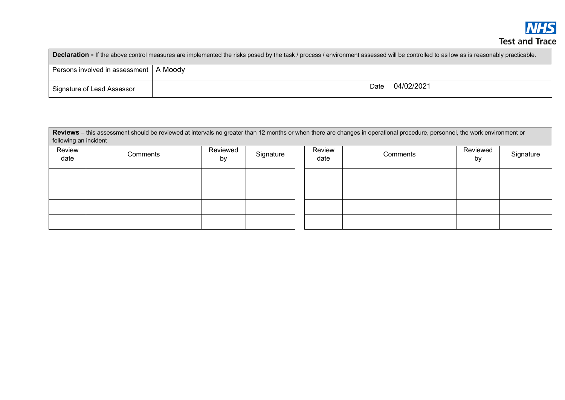| <b>Declaration - If the above control measures are implemented the risks posed by the task / process / environment assessed will be controlled to as low as is reasonably practicable.</b> |                    |  |  |  |  |  |
|--------------------------------------------------------------------------------------------------------------------------------------------------------------------------------------------|--------------------|--|--|--|--|--|
| Persons involved in assessment   A Moody                                                                                                                                                   |                    |  |  |  |  |  |
| Signature of Lead Assessor                                                                                                                                                                 | 04/02/2021<br>Date |  |  |  |  |  |

**Reviews** – this assessment should be reviewed at intervals no greater than 12 months or when there are changes in operational procedure, personnel, the work environment or following an incident

| Review<br>date | Comments | Reviewed<br>by | Signature | Review<br>date | Comments | Reviewed<br>by | Signature |
|----------------|----------|----------------|-----------|----------------|----------|----------------|-----------|
|                |          |                |           |                |          |                |           |
|                |          |                |           |                |          |                |           |
|                |          |                |           |                |          |                |           |
|                |          |                |           |                |          |                |           |